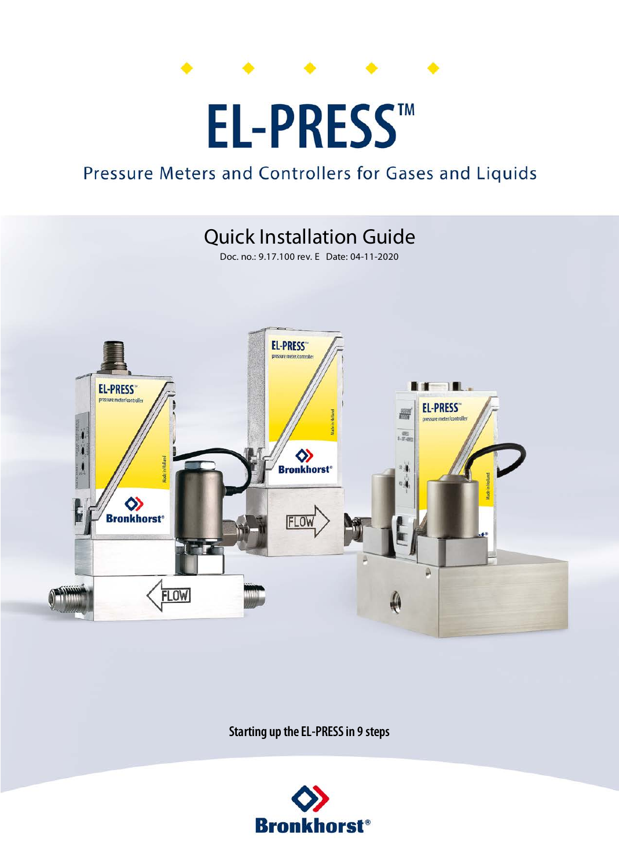

# EL-PRESSTM

## Pressure Meters and Controllers for Gases and Liquids



**Starting up the EL-PRESS in 9 steps**

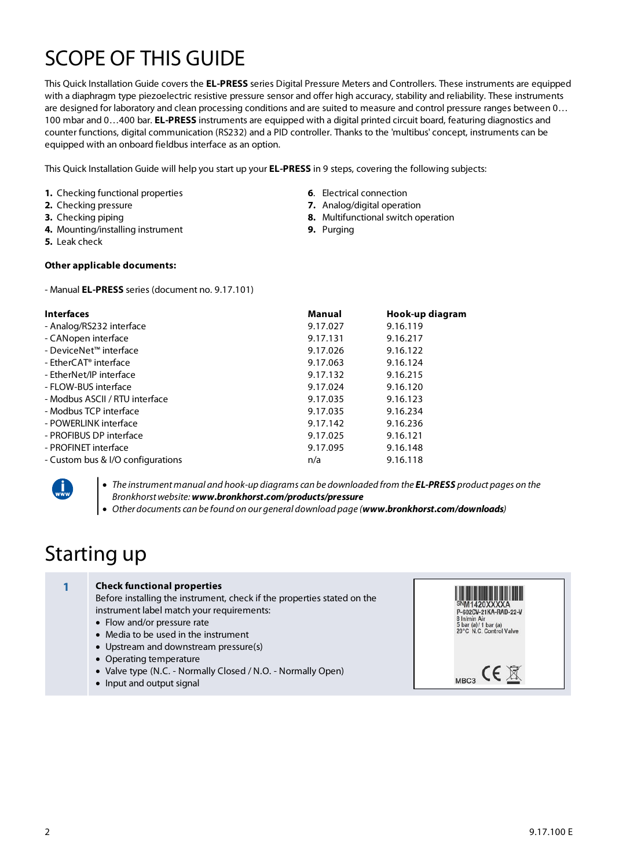# SCOPE OF THIS GUIDE

This Quick Installation Guide covers the **EL-PRESS** series Digital Pressure Meters and Controllers. These instruments are equipped with a diaphragm type piezoelectric resistive pressure sensor and offer high accuracy, stability and reliability. These instruments are designed for laboratory and clean processing conditions and are suited to measure and control pressure ranges between 0… 100 mbar and 0…400 bar. **EL-PRESS** instruments are equipped with a digital printed circuit board, featuring diagnostics and counter functions, digital communication (RS232) and a PID controller. Thanks to the 'multibus' concept, instruments can be equipped with an onboard fieldbus interface as an option.

> **6**. Electrical connection **7.** Analog/digital operation

**9.** Purging

**8.** Multifunctional switch operation

This Quick Installation Guide will help you start up your **EL-PRESS** in 9 steps, covering the following subjects:

- **1.** Checking functional properties
- **2.** Checking pressure
- **3.** Checking piping
- **4.** Mounting/installing instrument
- **5.** Leak check

#### **Other applicable documents:**

- Manual **EL-PRESS** series (document no. 9.17.101)

| <b>Interfaces</b>                 | Manual   | Hook-up diagram |
|-----------------------------------|----------|-----------------|
| - Analog/RS232 interface          | 9.17.027 | 9.16.119        |
| - CANopen interface               | 9.17.131 | 9.16.217        |
| $-DeviceNetm interface$           | 9.17.026 | 9.16.122        |
| - $F$ ther $C$ AT® interface      | 9.17.063 | 9.16.124        |
| - EtherNet/IP interface           | 9.17.132 | 9.16.215        |
| - FLOW-BUS interface              | 9.17.024 | 9.16.120        |
| - Modbus ASCII / RTU interface    | 9.17.035 | 9.16.123        |
| - Modbus TCP interface            | 9.17.035 | 9.16.234        |
| - POWERLINK interface             | 9.17.142 | 9.16.236        |
| - PROFIBUS DP interface           | 9.17.025 | 9.16.121        |
| - PROFINET interface              | 9.17.095 | 9.16.148        |
| - Custom bus & I/O configurations | n/a      | 9.16.118        |



· The instrument manual and hook-up diagrams can be downloaded from the **EL-PRESS** product pages on the Bronkhorst website: **www.bronkhorst.com/products/pressure** 

· Other documents can be found on our general download page (**www.bronkhorst.com/downloads**)

### Starting up

| <b>Check functional properties</b><br>Before installing the instrument, check if the properties stated on the<br>instrument label match your requirements:<br>• Flow and/or pressure rate<br>• Media to be used in the instrument<br>• Upstream and downstream pressure(s) | P-602CV-21KA-RAD-22-V<br>8 In/min Air<br>5 bar (a)/1 bar (a)<br>20°C N.C. Control Valve |
|----------------------------------------------------------------------------------------------------------------------------------------------------------------------------------------------------------------------------------------------------------------------------|-----------------------------------------------------------------------------------------|
| • Operating temperature<br>• Valve type (N.C. - Normally Closed / N.O. - Normally Open)<br>• Input and output signal                                                                                                                                                       | M <sub>RC</sub> <sub>3</sub>                                                            |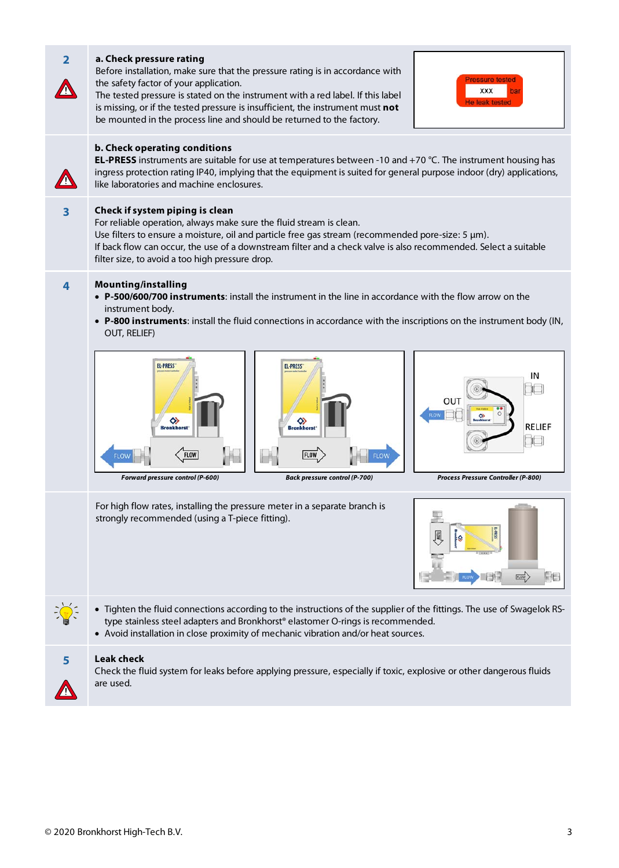| $\overline{2}$ | a. Check pressure rating<br>Before installation, make sure that the pressure rating is in accordance with<br><b>Pressure tested</b><br>the safety factor of your application.<br><b>XXX</b><br>bar<br>The tested pressure is stated on the instrument with a red label. If this label<br><b>He leak tested</b><br>is missing, or if the tested pressure is insufficient, the instrument must not<br>be mounted in the process line and should be returned to the factory.                                                                                            |  |  |  |  |
|----------------|----------------------------------------------------------------------------------------------------------------------------------------------------------------------------------------------------------------------------------------------------------------------------------------------------------------------------------------------------------------------------------------------------------------------------------------------------------------------------------------------------------------------------------------------------------------------|--|--|--|--|
|                | b. Check operating conditions<br><b>EL-PRESS</b> instruments are suitable for use at temperatures between -10 and +70 °C. The instrument housing has<br>ingress protection rating IP40, implying that the equipment is suited for general purpose indoor (dry) applications,<br>like laboratories and machine enclosures.                                                                                                                                                                                                                                            |  |  |  |  |
| 3              | Check if system piping is clean<br>For reliable operation, always make sure the fluid stream is clean.<br>Use filters to ensure a moisture, oil and particle free gas stream (recommended pore-size: 5 $\mu$ m).<br>If back flow can occur, the use of a downstream filter and a check valve is also recommended. Select a suitable<br>filter size, to avoid a too high pressure drop.                                                                                                                                                                               |  |  |  |  |
| 4              | <b>Mounting/installing</b><br>• P-500/600/700 instruments: install the instrument in the line in accordance with the flow arrow on the<br>instrument body.<br>• P-800 instruments: install the fluid connections in accordance with the inscriptions on the instrument body (IN,<br>OUT, RELIEF)<br><b>EL-PRESS</b><br><b>EL-PRESS</b><br>ΙN<br>OUT<br>◇<br>◇<br>RELIEF<br><b>Bronkhorst</b> *<br><b>Bronkhorst</b><br><b>FLOW</b><br><b>FLOW</b><br><b>Back pressure control (P-700)</b><br>Forward pressure control (P-600)<br>Process Pressure Controller (P-800) |  |  |  |  |
|                | For high flow rates, installing the pressure meter in a separate branch is<br>strongly recommended (using a T-piece fitting).<br><b>FLOW</b><br>FIE                                                                                                                                                                                                                                                                                                                                                                                                                  |  |  |  |  |
|                | • Tighten the fluid connections according to the instructions of the supplier of the fittings. The use of Swagelok RS-<br>type stainless steel adapters and Bronkhorst® elastomer O-rings is recommended.<br>• Avoid installation in close proximity of mechanic vibration and/or heat sources.                                                                                                                                                                                                                                                                      |  |  |  |  |
| 5              | <b>Leak check</b><br>Check the fluid system for leaks before applying pressure, especially if toxic, explosive or other dangerous fluids<br>are used.                                                                                                                                                                                                                                                                                                                                                                                                                |  |  |  |  |

m.